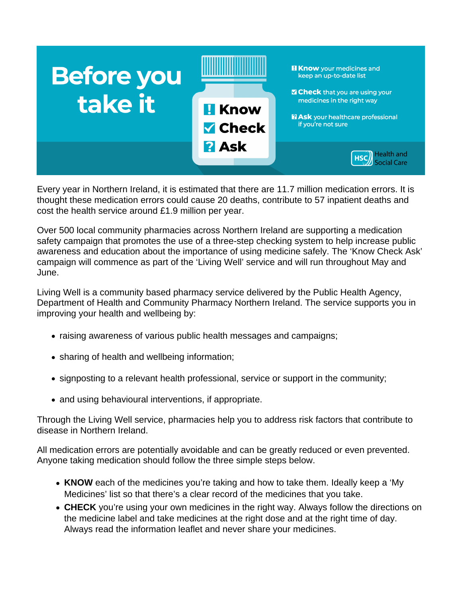

Every year in Northern Ireland, it is estimated that there are 11.7 million medication errors. It is thought these medication errors could cause 20 deaths, contribute to 57 inpatient deaths and cost the health service around £1.9 million per year.

Over 500 local community pharmacies across Northern Ireland are supporting a medication safety campaign that promotes the use of a three-step checking system to help increase public awareness and education about the importance of using medicine safely. The 'Know Check Ask' campaign will commence as part of the 'Living Well' service and will run throughout May and June.

Living Well is a community based pharmacy service delivered by the Public Health Agency, Department of Health and Community Pharmacy Northern Ireland. The service supports you in improving your health and wellbeing by:

- raising awareness of various public health messages and campaigns;
- sharing of health and wellbeing information;
- signposting to a relevant health professional, service or support in the community;
- and using behavioural interventions, if appropriate.

Through the Living Well service, pharmacies help you to address risk factors that contribute to disease in Northern Ireland.

All medication errors are potentially avoidable and can be greatly reduced or even prevented. Anyone taking medication should follow the three simple steps below.

- **KNOW** each of the medicines you're taking and how to take them. Ideally keep a 'My Medicines' list so that there's a clear record of the medicines that you take.
- **CHECK** you're using your own medicines in the right way. Always follow the directions on the medicine label and take medicines at the right dose and at the right time of day. Always read the information leaflet and never share your medicines.